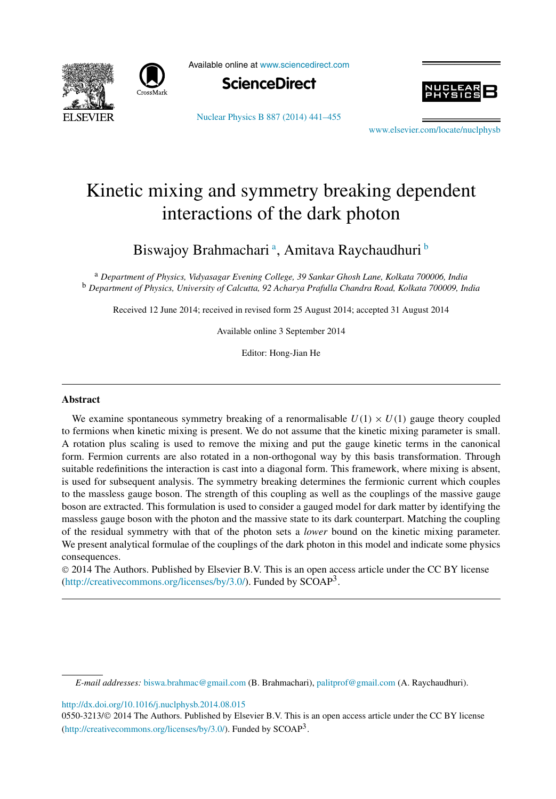



Available online at [www.sciencedirect.com](http://www.sciencedirect.com)



[Nuclear Physics B 887 \(2014\) 441–455](http://dx.doi.org/10.1016/j.nuclphysb.2014.08.015)



www.elsevier.com/locate/nuclphysh

# Kinetic mixing and symmetry breaking dependent interactions of the dark photon

Biswajoy Brahmachari <sup>a</sup>, Amitava Raychaudhuri <sup>b</sup>

<sup>a</sup> *Department of Physics, Vidyasagar Evening College, 39 Sankar Ghosh Lane, Kolkata 700006, India* <sup>b</sup> *Department of Physics, University of Calcutta, 92 Acharya Prafulla Chandra Road, Kolkata 700009, India*

Received 12 June 2014; received in revised form 25 August 2014; accepted 31 August 2014

Available online 3 September 2014

Editor: Hong-Jian He

#### **Abstract**

We examine spontaneous symmetry breaking of a renormalisable  $U(1) \times U(1)$  gauge theory coupled to fermions when kinetic mixing is present. We do not assume that the kinetic mixing parameter is small. A rotation plus scaling is used to remove the mixing and put the gauge kinetic terms in the canonical form. Fermion currents are also rotated in a non-orthogonal way by this basis transformation. Through suitable redefinitions the interaction is cast into a diagonal form. This framework, where mixing is absent, is used for subsequent analysis. The symmetry breaking determines the fermionic current which couples to the massless gauge boson. The strength of this coupling as well as the couplings of the massive gauge boson are extracted. This formulation is used to consider a gauged model for dark matter by identifying the massless gauge boson with the photon and the massive state to its dark counterpart. Matching the coupling of the residual symmetry with that of the photon sets a *lower* bound on the kinetic mixing parameter. We present analytical formulae of the couplings of the dark photon in this model and indicate some physics consequences.

© 2014 The Authors. Published by Elsevier B.V. This is an open access article under the CC BY license [\(http://creativecommons.org/licenses/by/3.0/](http://creativecommons.org/licenses/by/3.0/)). Funded by  $SCOAP<sup>3</sup>$ .

<http://dx.doi.org/10.1016/j.nuclphysb.2014.08.015>

*E-mail addresses:* [biswa.brahmac@gmail.com](mailto:biswa.brahmac@gmail.com) (B. Brahmachari), [palitprof@gmail.com](mailto:palitprof@gmail.com) (A. Raychaudhuri).

<sup>0550-3213/</sup>© 2014 The Authors. Published by Elsevier B.V. This is an open access article under the CC BY license [\(http://creativecommons.org/licenses/by/3.0/](http://creativecommons.org/licenses/by/3.0/)). Funded by  $SCOAP<sup>3</sup>$ .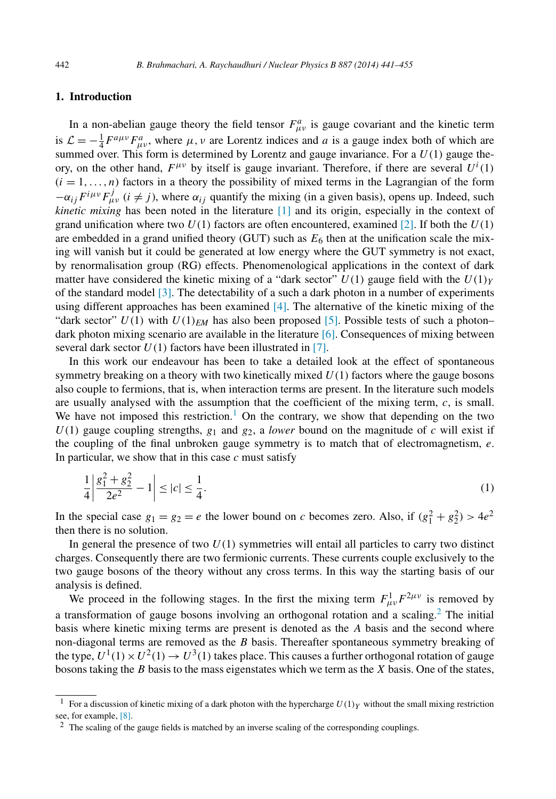## <span id="page-1-0"></span>**1. Introduction**

In a non-abelian gauge theory the field tensor  $F^a_{\mu\nu}$  is gauge covariant and the kinetic term is  $\mathcal{L} = -\frac{1}{4} F^{a\mu\nu} F^a_{\mu\nu}$ , where  $\mu$ ,  $\nu$  are Lorentz indices and *a* is a gauge index both of which are summed over. This form is determined by Lorentz and gauge invariance. For a  $U(1)$  gauge theory, on the other hand,  $F^{\mu\nu}$  by itself is gauge invariant. Therefore, if there are several  $U^{i}(1)$  $(i = 1, \ldots, n)$  factors in a theory the possibility of mixed terms in the Lagrangian of the form  $-\alpha_{ij}F^{i\mu\nu}F^j_{\mu\nu}$  (*i*  $\neq j$ ), where  $\alpha_{ij}$  quantify the mixing (in a given basis), opens up. Indeed, such *kinetic mixing* has been noted in the literature [\[1\]](#page-13-0) and its origin, especially in the context of grand unification where two  $U(1)$  factors are often encountered, examined [\[2\].](#page-13-0) If both the  $U(1)$ are embedded in a grand unified theory (GUT) such as  $E_6$  then at the unification scale the mixing will vanish but it could be generated at low energy where the GUT symmetry is not exact, by renormalisation group (RG) effects. Phenomenological applications in the context of dark matter have considered the kinetic mixing of a "dark sector"  $U(1)$  gauge field with the  $U(1)<sub>Y</sub>$ of the standard model [\[3\].](#page-13-0) The detectability of a such a dark photon in a number of experiments using different approaches has been examined [\[4\].](#page-14-0) The alternative of the kinetic mixing of the "dark sector"  $U(1)$  with  $U(1)_{EM}$  has also been proposed [\[5\].](#page-14-0) Possible tests of such a photon– dark photon mixing scenario are available in the literature [\[6\].](#page-14-0) Consequences of mixing between several dark sector  $U(1)$  factors have been illustrated in [\[7\].](#page-14-0)

In this work our endeavour has been to take a detailed look at the effect of spontaneous symmetry breaking on a theory with two kinetically mixed  $U(1)$  factors where the gauge bosons also couple to fermions, that is, when interaction terms are present. In the literature such models are usually analysed with the assumption that the coefficient of the mixing term, *c*, is small. We have not imposed this restriction.<sup>1</sup> On the contrary, we show that depending on the two  $U(1)$  gauge coupling strengths,  $g_1$  and  $g_2$ , a *lower* bound on the magnitude of *c* will exist if the coupling of the final unbroken gauge symmetry is to match that of electromagnetism, *e*. In particular, we show that in this case *c* must satisfy

$$
\frac{1}{4} \left| \frac{g_1^2 + g_2^2}{2e^2} - 1 \right| \le |c| \le \frac{1}{4}.\tag{1}
$$

In the special case  $g_1 = g_2 = e$  the lower bound on *c* becomes zero. Also, if  $(g_1^2 + g_2^2) > 4e^2$ then there is no solution.

In general the presence of two  $U(1)$  symmetries will entail all particles to carry two distinct charges. Consequently there are two fermionic currents. These currents couple exclusively to the two gauge bosons of the theory without any cross terms. In this way the starting basis of our analysis is defined.

We proceed in the following stages. In the first the mixing term  $F^1_{\mu\nu}F^{2\mu\nu}$  is removed by a transformation of gauge bosons involving an orthogonal rotation and a scaling.<sup>2</sup> The initial basis where kinetic mixing terms are present is denoted as the *A* basis and the second where non-diagonal terms are removed as the *B* basis. Thereafter spontaneous symmetry breaking of the type,  $U^1(1) \times U^2(1) \rightarrow U^3(1)$  takes place. This causes a further orthogonal rotation of gauge bosons taking the *B* basis to the mass eigenstates which we term as the *X* basis. One of the states,

<sup>&</sup>lt;sup>1</sup> For a discussion of kinetic mixing of a dark photon with the hypercharge  $U(1)_Y$  without the small mixing restriction see, for example, [\[8\].](#page-14-0)

<sup>2</sup> The scaling of the gauge fields is matched by an inverse scaling of the corresponding couplings.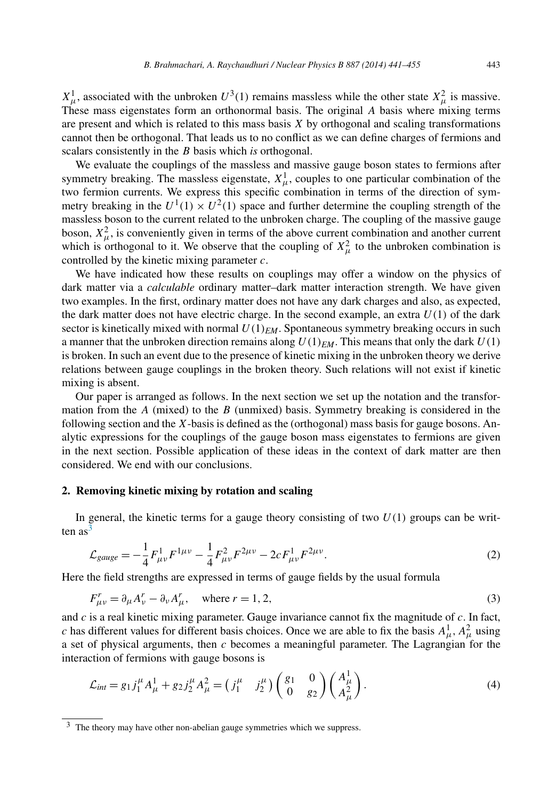<span id="page-2-0"></span> $X^1_\mu$ , associated with the unbroken  $U^3(1)$  remains massless while the other state  $X^2_\mu$  is massive. These mass eigenstates form an orthonormal basis. The original *A* basis where mixing terms are present and which is related to this mass basis *X* by orthogonal and scaling transformations cannot then be orthogonal. That leads us to no conflict as we can define charges of fermions and scalars consistently in the *B* basis which *is* orthogonal.

We evaluate the couplings of the massless and massive gauge boson states to fermions after symmetry breaking. The massless eigenstate,  $X^1_\mu$ , couples to one particular combination of the two fermion currents. We express this specific combination in terms of the direction of symmetry breaking in the  $U^1(1) \times U^2(1)$  space and further determine the coupling strength of the massless boson to the current related to the unbroken charge. The coupling of the massive gauge boson,  $X^2_{\mu}$ , is conveniently given in terms of the above current combination and another current which is orthogonal to it. We observe that the coupling of  $X^2_\mu$  to the unbroken combination is controlled by the kinetic mixing parameter *c*.

We have indicated how these results on couplings may offer a window on the physics of dark matter via a *calculable* ordinary matter–dark matter interaction strength. We have given two examples. In the first, ordinary matter does not have any dark charges and also, as expected, the dark matter does not have electric charge. In the second example, an extra  $U(1)$  of the dark sector is kinetically mixed with normal  $U(1)_{EM}$ . Spontaneous symmetry breaking occurs in such a manner that the unbroken direction remains along  $U(1)_{EM}$ . This means that only the dark  $U(1)$ is broken. In such an event due to the presence of kinetic mixing in the unbroken theory we derive relations between gauge couplings in the broken theory. Such relations will not exist if kinetic mixing is absent.

Our paper is arranged as follows. In the next section we set up the notation and the transformation from the *A* (mixed) to the *B* (unmixed) basis. Symmetry breaking is considered in the following section and the *X*-basis is defined as the (orthogonal) mass basis for gauge bosons. Analytic expressions for the couplings of the gauge boson mass eigenstates to fermions are given in the next section. Possible application of these ideas in the context of dark matter are then considered. We end with our conclusions.

### **2. Removing kinetic mixing by rotation and scaling**

In general, the kinetic terms for a gauge theory consisting of two  $U(1)$  groups can be written as<sup>3</sup>

$$
\mathcal{L}_{gauge} = -\frac{1}{4} F_{\mu\nu}^1 F^{1\mu\nu} - \frac{1}{4} F_{\mu\nu}^2 F^{2\mu\nu} - 2c F_{\mu\nu}^1 F^{2\mu\nu}.
$$
\n(2)

Here the field strengths are expressed in terms of gauge fields by the usual formula

$$
F_{\mu\nu}^r = \partial_{\mu} A_{\nu}^r - \partial_{\nu} A_{\mu}^r, \quad \text{where } r = 1, 2,
$$
\n<sup>(3)</sup>

and *c* is a real kinetic mixing parameter. Gauge invariance cannot fix the magnitude of *c*. In fact, *c* has different values for different basis choices. Once we are able to fix the basis  $A^1_\mu$ ,  $A^2_\mu$  using a set of physical arguments, then *c* becomes a meaningful parameter. The Lagrangian for the interaction of fermions with gauge bosons is

$$
\mathcal{L}_{int} = g_1 j_1^{\mu} A_{\mu}^1 + g_2 j_2^{\mu} A_{\mu}^2 = (j_1^{\mu} j_2^{\mu}) \begin{pmatrix} g_1 & 0 \\ 0 & g_2 \end{pmatrix} \begin{pmatrix} A_{\mu}^1 \\ A_{\mu}^2 \end{pmatrix}.
$$
 (4)

<sup>&</sup>lt;sup>3</sup> The theory may have other non-abelian gauge symmetries which we suppress.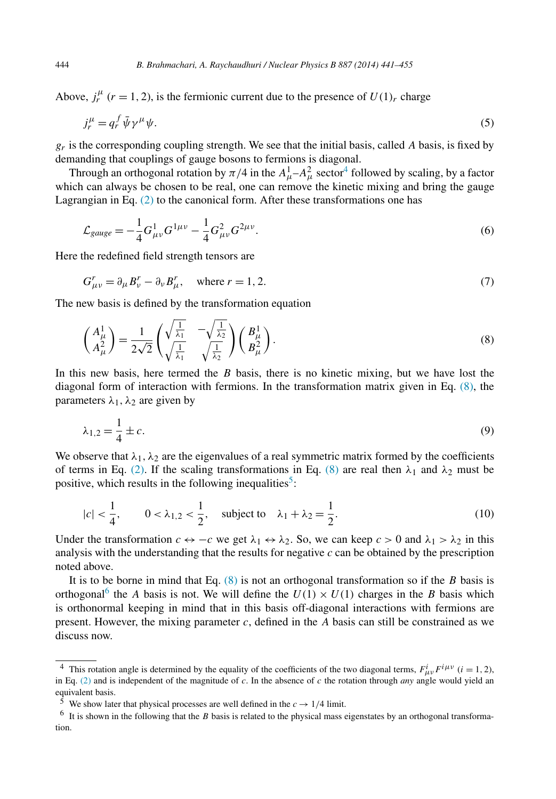Above,  $j_r^{\mu}$  ( $r = 1, 2$ ), is the fermionic current due to the presence of  $U(1)_r$  charge

$$
j_r^{\mu} = q_r^f \bar{\psi} \gamma^{\mu} \psi. \tag{5}
$$

 $g_r$  is the corresponding coupling strength. We see that the initial basis, called *A* basis, is fixed by demanding that couplings of gauge bosons to fermions is diagonal.

Through an orthogonal rotation by  $\pi/4$  in the  $A^1_\mu - A^2_\mu$  sector<sup>4</sup> followed by scaling, by a factor which can always be chosen to be real, one can remove the kinetic mixing and bring the gauge Lagrangian in Eq. [\(2\)](#page-2-0) to the canonical form. After these transformations one has

$$
\mathcal{L}_{gauge} = -\frac{1}{4} G_{\mu\nu}^1 G^{1\mu\nu} - \frac{1}{4} G_{\mu\nu}^2 G^{2\mu\nu}.
$$
\n(6)

Here the redefined field strength tensors are

$$
G_{\mu\nu}^r = \partial_{\mu} B_{\nu}^r - \partial_{\nu} B_{\mu}^r, \quad \text{where } r = 1, 2.
$$
 (7)

The new basis is defined by the transformation equation

$$
\begin{pmatrix} A^1_\mu \\ A^2_\mu \end{pmatrix} = \frac{1}{2\sqrt{2}} \begin{pmatrix} \sqrt{\frac{1}{\lambda_1}} & -\sqrt{\frac{1}{\lambda_2}} \\ \sqrt{\frac{1}{\lambda_1}} & \sqrt{\frac{1}{\lambda_2}} \end{pmatrix} \begin{pmatrix} B^1_\mu \\ B^2_\mu \end{pmatrix} . \tag{8}
$$

In this new basis, here termed the *B* basis, there is no kinetic mixing, but we have lost the diagonal form of interaction with fermions. In the transformation matrix given in Eq. (8), the parameters  $\lambda_1$ ,  $\lambda_2$  are given by

$$
\lambda_{1,2} = \frac{1}{4} \pm c. \tag{9}
$$

We observe that  $\lambda_1, \lambda_2$  are the eigenvalues of a real symmetric matrix formed by the coefficients of terms in Eq. [\(2\).](#page-2-0) If the scaling transformations in Eq. (8) are real then  $\lambda_1$  and  $\lambda_2$  must be positive, which results in the following inequalities<sup>5</sup>:

$$
|c| < \frac{1}{4}, \qquad 0 < \lambda_{1,2} < \frac{1}{2}, \quad \text{subject to} \quad \lambda_1 + \lambda_2 = \frac{1}{2}.\tag{10}
$$

Under the transformation  $c \leftrightarrow -c$  we get  $\lambda_1 \leftrightarrow \lambda_2$ . So, we can keep  $c > 0$  and  $\lambda_1 > \lambda_2$  in this analysis with the understanding that the results for negative *c* can be obtained by the prescription noted above.

It is to be borne in mind that Eq. (8) is not an orthogonal transformation so if the *B* basis is orthogonal<sup>6</sup> the *A* basis is not. We will define the  $U(1) \times U(1)$  charges in the *B* basis which is orthonormal keeping in mind that in this basis off-diagonal interactions with fermions are present. However, the mixing parameter *c*, defined in the *A* basis can still be constrained as we discuss now.

<span id="page-3-0"></span>

<sup>&</sup>lt;sup>4</sup> This rotation angle is determined by the equality of the coefficients of the two diagonal terms,  $F_{\mu\nu}^i F^{i\mu\nu}$  ( $i = 1, 2$ ), in Eq. [\(2\)](#page-2-0) and is independent of the magnitude of c. In the absence of c the rotation t equivalent basis.

<sup>&</sup>lt;sup>5</sup> We show later that physical processes are well defined in the  $c \rightarrow 1/4$  limit.

<sup>6</sup> It is shown in the following that the *B* basis is related to the physical mass eigenstates by an orthogonal transformation.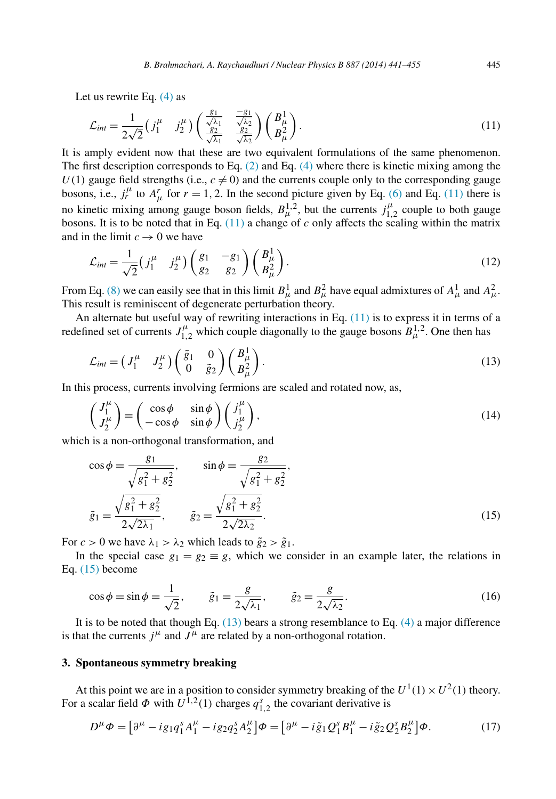<span id="page-4-0"></span>Let us rewrite Eq. [\(4\)](#page-2-0) as

$$
\mathcal{L}_{int} = \frac{1}{2\sqrt{2}} \left( j_1^{\mu} \quad j_2^{\mu} \right) \left( \frac{\frac{g_1}{\sqrt{\lambda_1}}}{\frac{g_2}{\sqrt{\lambda_1}}} \frac{\frac{-g_1}{\sqrt{\lambda_2}}}{\frac{g_2}{\sqrt{\lambda_2}}} \right) \left( \frac{B_{\mu}^1}{B_{\mu}^2} \right). \tag{11}
$$

It is amply evident now that these are two equivalent formulations of the same phenomenon. The first description corresponds to Eq. [\(2\)](#page-2-0) and Eq. [\(4\)](#page-2-0) where there is kinetic mixing among the  $U(1)$  gauge field strengths (i.e.,  $c \neq 0$ ) and the currents couple only to the corresponding gauge bosons, i.e.,  $j_r^{\mu}$  to  $A_{\mu}^r$  for  $r = 1, 2$ . In the second picture given by Eq. [\(6\)](#page-3-0) and Eq. (11) there is no kinetic mixing among gauge boson fields,  $B_{\mu}^{1,2}$ , but the currents  $j_{1,2}^{\mu}$  couple to both gauge bosons. It is to be noted that in Eq. (11) a change of *c* only affects the scaling within the matrix and in the limit  $c \rightarrow 0$  we have

$$
\mathcal{L}_{int} = \frac{1}{\sqrt{2}} \left( j_1^{\mu} \quad j_2^{\mu} \right) \begin{pmatrix} g_1 & -g_1 \\ g_2 & g_2 \end{pmatrix} \begin{pmatrix} B_{\mu}^1 \\ B_{\mu}^2 \end{pmatrix} . \tag{12}
$$

From Eq. [\(8\)](#page-3-0) we can easily see that in this limit  $B^1_\mu$  and  $B^2_\mu$  have equal admixtures of  $A^1_\mu$  and  $A^2_\mu$ . This result is reminiscent of degenerate perturbation theory.

An alternate but useful way of rewriting interactions in Eq.  $(11)$  is to express it in terms of a redefined set of currents  $J_{1,2}^{\mu}$  which couple diagonally to the gauge bosons  $B_{\mu}^{1,2}$ . One then has

$$
\mathcal{L}_{int} = \begin{pmatrix} J_1^{\mu} & J_2^{\mu} \end{pmatrix} \begin{pmatrix} \tilde{g}_1 & 0 \\ 0 & \tilde{g}_2 \end{pmatrix} \begin{pmatrix} B_{\mu}^1 \\ B_{\mu}^2 \end{pmatrix} . \tag{13}
$$

In this process, currents involving fermions are scaled and rotated now, as,

$$
\begin{pmatrix} J_1^{\mu} \\ J_2^{\mu} \end{pmatrix} = \begin{pmatrix} \cos \phi & \sin \phi \\ -\cos \phi & \sin \phi \end{pmatrix} \begin{pmatrix} j_1^{\mu} \\ j_2^{\mu} \end{pmatrix},
$$
\n(14)

which is a non-orthogonal transformation, and

$$
\cos \phi = \frac{g_1}{\sqrt{g_1^2 + g_2^2}}, \qquad \sin \phi = \frac{g_2}{\sqrt{g_1^2 + g_2^2}},
$$
  

$$
\tilde{g}_1 = \frac{\sqrt{g_1^2 + g_2^2}}{2\sqrt{2\lambda_1}}, \qquad \tilde{g}_2 = \frac{\sqrt{g_1^2 + g_2^2}}{2\sqrt{2\lambda_2}}.
$$
 (15)

For  $c > 0$  we have  $\lambda_1 > \lambda_2$  which leads to  $\tilde{g}_2 > \tilde{g}_1$ .

In the special case  $g_1 = g_2 \equiv g$ , which we consider in an example later, the relations in Eq. (15) become

$$
\cos \phi = \sin \phi = \frac{1}{\sqrt{2}}, \qquad \tilde{g}_1 = \frac{g}{2\sqrt{\lambda_1}}, \qquad \tilde{g}_2 = \frac{g}{2\sqrt{\lambda_2}}.
$$
 (16)

It is to be noted that though Eq. (13) bears a strong resemblance to Eq. [\(4\)](#page-2-0) a major difference is that the currents  $j^{\mu}$  and  $J^{\mu}$  are related by a non-orthogonal rotation.

## **3. Spontaneous symmetry breaking**

At this point we are in a position to consider symmetry breaking of the  $U^1(1) \times U^2(1)$  theory. For a scalar field  $\Phi$  with  $U^{1,2}(1)$  charges  $q_{1,2}^s$  the covariant derivative is

$$
D^{\mu}\Phi = \left[\partial^{\mu} - ig_{1}q_{1}^{s}A_{1}^{\mu} - ig_{2}q_{2}^{s}A_{2}^{\mu}\right]\Phi = \left[\partial^{\mu} - i\tilde{g}_{1}Q_{1}^{s}B_{1}^{\mu} - i\tilde{g}_{2}Q_{2}^{s}B_{2}^{\mu}\right]\Phi. \tag{17}
$$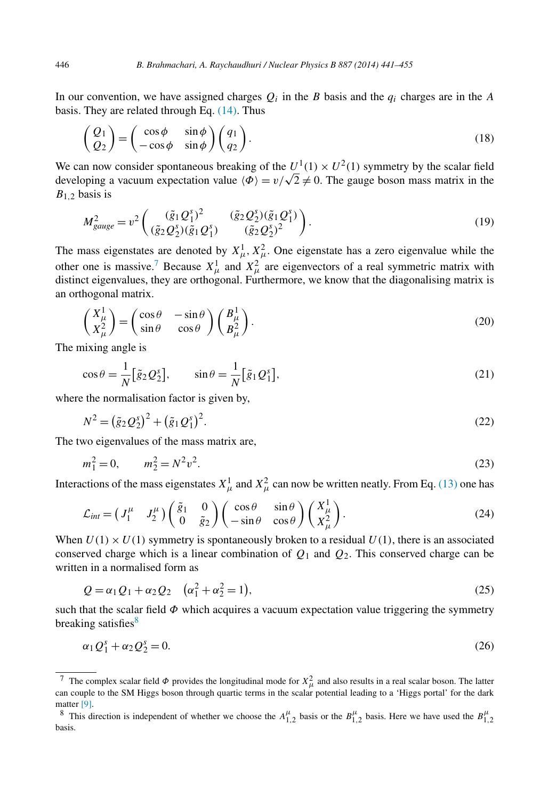In our convention, we have assigned charges  $Q_i$  in the *B* basis and the  $q_i$  charges are in the *A* basis. They are related through Eq. [\(14\).](#page-4-0) Thus

$$
\begin{pmatrix} Q_1 \\ Q_2 \end{pmatrix} = \begin{pmatrix} \cos \phi & \sin \phi \\ -\cos \phi & \sin \phi \end{pmatrix} \begin{pmatrix} q_1 \\ q_2 \end{pmatrix}.
$$
 (18)

We can now consider spontaneous breaking of the  $U^1(1) \times U^2(1)$  symmetry by the scalar field developing a vacuum expectation value  $\langle \Phi \rangle = v/\sqrt{2} \neq 0$ . The gauge boson mass matrix in the *B*1*,*<sup>2</sup> basis is

$$
M_{gauge}^2 = v^2 \left( \frac{(\tilde{g}_1 Q_1^s)^2}{(\tilde{g}_2 Q_2^s)(\tilde{g}_1 Q_1^s)} - \frac{(\tilde{g}_2 Q_2^s)(\tilde{g}_1 Q_1^s)}{(\tilde{g}_2 Q_2^s)^2} \right).
$$
(19)

The mass eigenstates are denoted by  $X^1_\mu$ ,  $X^2_\mu$ . One eigenstate has a zero eigenvalue while the other one is massive.<sup>7</sup> Because  $X^1_\mu$  and  $X^2_\mu$  are eigenvectors of a real symmetric matrix with distinct eigenvalues, they are orthogonal. Furthermore, we know that the diagonalising matrix is an orthogonal matrix.

$$
\begin{pmatrix} X_{\mu}^{1} \\ X_{\mu}^{2} \end{pmatrix} = \begin{pmatrix} \cos \theta & -\sin \theta \\ \sin \theta & \cos \theta \end{pmatrix} \begin{pmatrix} B_{\mu}^{1} \\ B_{\mu}^{2} \end{pmatrix}.
$$
 (20)

The mixing angle is

$$
\cos \theta = \frac{1}{N} \left[ \tilde{g}_2 \mathcal{Q}_2^s \right], \qquad \sin \theta = \frac{1}{N} \left[ \tilde{g}_1 \mathcal{Q}_1^s \right], \tag{21}
$$

where the normalisation factor is given by,

$$
N^{2} = (\tilde{g}_{2} Q_{2}^{s})^{2} + (\tilde{g}_{1} Q_{1}^{s})^{2}.
$$
\n(22)

The two eigenvalues of the mass matrix are,

$$
m_1^2 = 0, \qquad m_2^2 = N^2 v^2. \tag{23}
$$

Interactions of the mass eigenstates  $X^1_\mu$  and  $X^2_\mu$  can now be written neatly. From Eq. [\(13\)](#page-4-0) one has

$$
\mathcal{L}_{int} = \begin{pmatrix} J_1^{\mu} & J_2^{\mu} \end{pmatrix} \begin{pmatrix} \tilde{g}_1 & 0 \\ 0 & \tilde{g}_2 \end{pmatrix} \begin{pmatrix} \cos \theta & \sin \theta \\ -\sin \theta & \cos \theta \end{pmatrix} \begin{pmatrix} X_{\mu}^1 \\ X_{\mu}^2 \end{pmatrix} . \tag{24}
$$

When  $U(1) \times U(1)$  symmetry is spontaneously broken to a residual  $U(1)$ , there is an associated conserved charge which is a linear combination of *Q*<sup>1</sup> and *Q*2. This conserved charge can be written in a normalised form as

$$
Q = \alpha_1 Q_1 + \alpha_2 Q_2 \quad (\alpha_1^2 + \alpha_2^2 = 1),
$$
\n(25)

such that the scalar field  $\Phi$  which acquires a vacuum expectation value triggering the symmetry breaking satisfies $8$ 

$$
\alpha_1 Q_1^s + \alpha_2 Q_2^s = 0. \tag{26}
$$

<span id="page-5-0"></span>

<sup>&</sup>lt;sup>7</sup> The complex scalar field  $\Phi$  provides the longitudinal mode for  $X^2_\mu$  and also results in a real scalar boson. The latter can couple to the SM Higgs boson through quartic terms in the scalar potential leading to a 'Higgs portal' for the dark matter [\[9\].](#page-14-0)

<sup>&</sup>lt;sup>8</sup> This direction is independent of whether we choose the  $A_{1,2}^{\mu}$  basis or the  $B_{1,2}^{\mu}$  basis. Here we have used the  $B_{1,2}^{\mu}$ basis.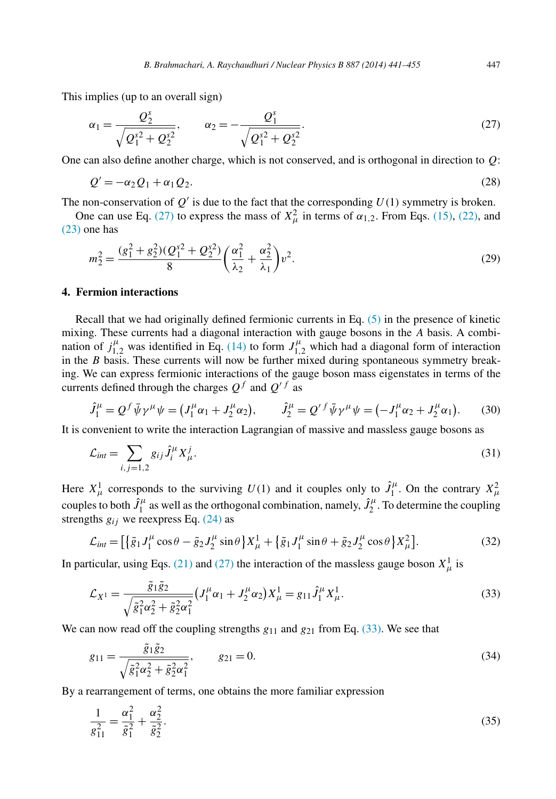<span id="page-6-0"></span>This implies (up to an overall sign)

$$
\alpha_1 = \frac{Q_2^s}{\sqrt{Q_1^{s2} + Q_2^{s2}}}, \qquad \alpha_2 = -\frac{Q_1^s}{\sqrt{Q_1^{s2} + Q_2^{s2}}}.
$$
\n(27)

One can also define another charge, which is not conserved, and is orthogonal in direction to *Q*:

$$
Q' = -\alpha_2 Q_1 + \alpha_1 Q_2. \tag{28}
$$

The non-conservation of  $Q'$  is due to the fact that the corresponding  $U(1)$  symmetry is broken.

One can use Eq. (27) to express the mass of  $X_{\mu}^2$  in terms of  $\alpha_{1,2}$ . From Eqs. [\(15\),](#page-4-0) [\(22\),](#page-5-0) and [\(23\)](#page-5-0) one has

$$
m_2^2 = \frac{(g_1^2 + g_2^2)(Q_1^{s2} + Q_2^{s2})}{8} \left(\frac{\alpha_1^2}{\lambda_2} + \frac{\alpha_2^2}{\lambda_1}\right) v^2.
$$
 (29)

## **4. Fermion interactions**

Recall that we had originally defined fermionic currents in Eq. [\(5\)](#page-3-0) in the presence of kinetic mixing. These currents had a diagonal interaction with gauge bosons in the *A* basis. A combination of  $j_{1,2}^{\mu}$  was identified in Eq. [\(14\)](#page-4-0) to form  $J_{1,2}^{\mu}$  which had a diagonal form of interaction in the *B* basis. These currents will now be further mixed during spontaneous symmetry breaking. We can express fermionic interactions of the gauge boson mass eigenstates in terms of the currents defined through the charges  $Q^f$  and  $Q'^f$  as

$$
\hat{J}_1^{\mu} = Q^f \bar{\psi} \gamma^{\mu} \psi = (J_1^{\mu} \alpha_1 + J_2^{\mu} \alpha_2), \qquad \hat{J}_2^{\mu} = Q'^f \bar{\psi} \gamma^{\mu} \psi = (-J_1^{\mu} \alpha_2 + J_2^{\mu} \alpha_1). \tag{30}
$$

It is convenient to write the interaction Lagrangian of massive and massless gauge bosons as

$$
\mathcal{L}_{int} = \sum_{i,j=1,2} g_{ij} \hat{J}_i^{\mu} X_{\mu}^j.
$$
\n(31)

Here  $X^1_\mu$  corresponds to the surviving  $U(1)$  and it couples only to  $\hat{J}^\mu_1$ . On the contrary  $X^2_\mu$ couples to both  $\hat{J}_1^{\mu}$  as well as the orthogonal combination, namely,  $\hat{J}_2^{\mu}$ . To determine the coupling strengths  $g_{ij}$  we reexpress Eq. [\(24\)](#page-5-0) as

$$
\mathcal{L}_{int} = \left[ \left\{ \tilde{g}_1 J_1^{\mu} \cos \theta - \tilde{g}_2 J_2^{\mu} \sin \theta \right\} X_{\mu}^1 + \left\{ \tilde{g}_1 J_1^{\mu} \sin \theta + \tilde{g}_2 J_2^{\mu} \cos \theta \right\} X_{\mu}^2 \right].
$$
 (32)

In particular, using Eqs. [\(21\)](#page-5-0) and (27) the interaction of the massless gauge boson  $X^1_\mu$  is

$$
\mathcal{L}_{X^1} = \frac{\tilde{g}_1 \tilde{g}_2}{\sqrt{\tilde{g}_1^2 \alpha_2^2 + \tilde{g}_2^2 \alpha_1^2}} \left( J_1^{\mu} \alpha_1 + J_2^{\mu} \alpha_2 \right) X_{\mu}^1 = g_{11} \hat{J}_1^{\mu} X_{\mu}^1. \tag{33}
$$

We can now read off the coupling strengths  $g_{11}$  and  $g_{21}$  from Eq. (33). We see that

$$
g_{11} = \frac{\tilde{g}_1 \tilde{g}_2}{\sqrt{\tilde{g}_1^2 \alpha_2^2 + \tilde{g}_2^2 \alpha_1^2}}, \qquad g_{21} = 0.
$$
 (34)

By a rearrangement of terms, one obtains the more familiar expression

$$
\frac{1}{g_{11}^2} = \frac{\alpha_1^2}{\tilde{g}_1^2} + \frac{\alpha_2^2}{\tilde{g}_2^2}.
$$
\n(35)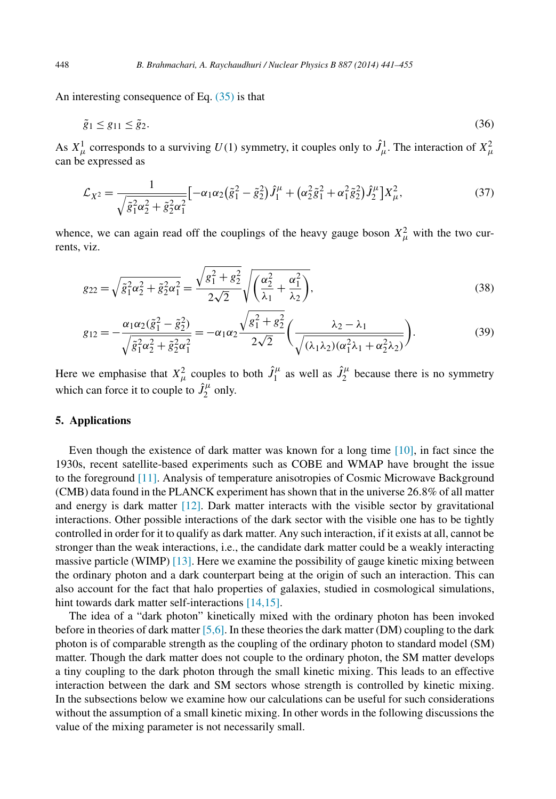An interesting consequence of Eq. [\(35\)](#page-6-0) is that

$$
\tilde{g}_1 \le g_{11} \le \tilde{g}_2. \tag{36}
$$

As  $X^1_\mu$  corresponds to a surviving  $U(1)$  symmetry, it couples only to  $\hat{J}^1_\mu$ . The interaction of  $X^2_\mu$ can be expressed as

$$
\mathcal{L}_{X^2} = \frac{1}{\sqrt{\tilde{g}_1^2 \alpha_2^2 + \tilde{g}_2^2 \alpha_1^2}} \left[ -\alpha_1 \alpha_2 (\tilde{g}_1^2 - \tilde{g}_2^2) \hat{J}_1^{\mu} + (\alpha_2^2 \tilde{g}_1^2 + \alpha_1^2 \tilde{g}_2^2) \hat{J}_2^{\mu} \right] X_{\mu}^2, \tag{37}
$$

whence, we can again read off the couplings of the heavy gauge boson  $X^2_\mu$  with the two currents, viz.

$$
g_{22} = \sqrt{\tilde{g}_1^2 \alpha_2^2 + \tilde{g}_2^2 \alpha_1^2} = \frac{\sqrt{g_1^2 + g_2^2}}{2\sqrt{2}} \sqrt{\left(\frac{\alpha_2^2}{\lambda_1} + \frac{\alpha_1^2}{\lambda_2}\right)},
$$
(38)

$$
g_{12} = -\frac{\alpha_1 \alpha_2 (\tilde{g}_1^2 - \tilde{g}_2^2)}{\sqrt{\tilde{g}_1^2 \alpha_2^2 + \tilde{g}_2^2 \alpha_1^2}} = -\alpha_1 \alpha_2 \frac{\sqrt{g_1^2 + g_2^2}}{2\sqrt{2}} \left( \frac{\lambda_2 - \lambda_1}{\sqrt{(\lambda_1 \lambda_2)(\alpha_1^2 \lambda_1 + \alpha_2^2 \lambda_2)}} \right).
$$
(39)

Here we emphasise that  $X^2_\mu$  couples to both  $\hat{J}^\mu_1$  as well as  $\hat{J}^\mu_2$  because there is no symmetry which can force it to couple to  $\hat{J}_2^{\mu}$  only.

## **5. Applications**

Even though the existence of dark matter was known for a long time  $[10]$ , in fact since the 1930s, recent satellite-based experiments such as COBE and WMAP have brought the issue to the foreground [\[11\].](#page-14-0) Analysis of temperature anisotropies of Cosmic Microwave Background (CMB) data found in the PLANCK experiment has shown that in the universe 26*.*8% of all matter and energy is dark matter [\[12\].](#page-14-0) Dark matter interacts with the visible sector by gravitational interactions. Other possible interactions of the dark sector with the visible one has to be tightly controlled in order for it to qualify as dark matter. Any such interaction, if it exists at all, cannot be stronger than the weak interactions, i.e., the candidate dark matter could be a weakly interacting massive particle (WIMP) [\[13\].](#page-14-0) Here we examine the possibility of gauge kinetic mixing between the ordinary photon and a dark counterpart being at the origin of such an interaction. This can also account for the fact that halo properties of galaxies, studied in cosmological simulations, hint towards dark matter self-interactions [\[14,15\].](#page-14-0)

The idea of a "dark photon" kinetically mixed with the ordinary photon has been invoked before in theories of dark matter [\[5,6\].](#page-14-0) In these theories the dark matter (DM) coupling to the dark photon is of comparable strength as the coupling of the ordinary photon to standard model (SM) matter. Though the dark matter does not couple to the ordinary photon, the SM matter develops a tiny coupling to the dark photon through the small kinetic mixing. This leads to an effective interaction between the dark and SM sectors whose strength is controlled by kinetic mixing. In the subsections below we examine how our calculations can be useful for such considerations without the assumption of a small kinetic mixing. In other words in the following discussions the value of the mixing parameter is not necessarily small.

<span id="page-7-0"></span>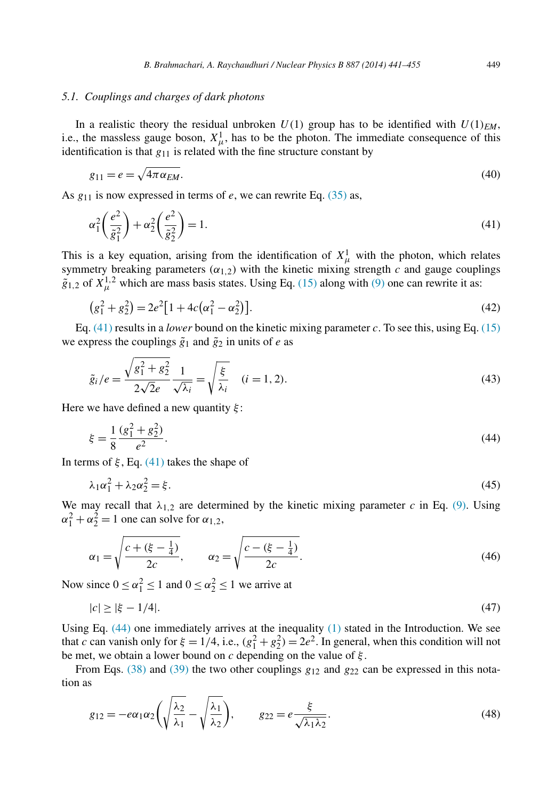### <span id="page-8-0"></span>*5.1. Couplings and charges of dark photons*

In a realistic theory the residual unbroken  $U(1)$  group has to be identified with  $U(1)_{EM}$ , i.e., the massless gauge boson,  $X^1_\mu$ , has to be the photon. The immediate consequence of this identification is that *g*<sup>11</sup> is related with the fine structure constant by

$$
g_{11} = e = \sqrt{4\pi\alpha_{EM}}.\tag{40}
$$

As *g*<sup>11</sup> is now expressed in terms of *e*, we can rewrite Eq. [\(35\)](#page-6-0) as,

$$
\alpha_1^2 \left(\frac{e^2}{\tilde{g}_1^2}\right) + \alpha_2^2 \left(\frac{e^2}{\tilde{g}_2^2}\right) = 1. \tag{41}
$$

This is a key equation, arising from the identification of  $X^1_\mu$  with the photon, which relates symmetry breaking parameters  $(\alpha_{1,2})$  with the kinetic mixing strength *c* and gauge couplings  $\tilde{g}_{1,2}$  of  $X^{1,2}_{\mu}$  which are mass basis states. Using Eq. [\(15\)](#page-4-0) along with [\(9\)](#page-3-0) one can rewrite it as:

$$
(g_1^2 + g_2^2) = 2e^2[1 + 4c(\alpha_1^2 - \alpha_2^2)].
$$
\n(42)

Eq.  $(41)$  results in a *lower* bound on the kinetic mixing parameter *c*. To see this, using Eq.  $(15)$ we express the couplings  $\tilde{g}_1$  and  $\tilde{g}_2$  in units of *e* as

$$
\tilde{g}_i/e = \frac{\sqrt{g_1^2 + g_2^2}}{2\sqrt{2}e} \frac{1}{\sqrt{\lambda_i}} = \sqrt{\frac{\xi}{\lambda_i}} \quad (i = 1, 2).
$$
\n(43)

Here we have defined a new quantity *ξ* :

$$
\xi = \frac{1}{8} \frac{(g_1^2 + g_2^2)}{e^2}.
$$
\n(44)

In terms of  $\xi$ , Eq. (41) takes the shape of

$$
\lambda_1 \alpha_1^2 + \lambda_2 \alpha_2^2 = \xi. \tag{45}
$$

We may recall that  $\lambda_{1,2}$  are determined by the kinetic mixing parameter *c* in Eq. [\(9\).](#page-3-0) Using  $\alpha_1^2 + \alpha_2^2 = 1$  one can solve for  $\alpha_{1,2}$ ,

$$
\alpha_1 = \sqrt{\frac{c + (\xi - \frac{1}{4})}{2c}}, \qquad \alpha_2 = \sqrt{\frac{c - (\xi - \frac{1}{4})}{2c}}.
$$
\n(46)

Now since  $0 \le \alpha_1^2 \le 1$  and  $0 \le \alpha_2^2 \le 1$  we arrive at

$$
|c| \ge |\xi - 1/4|.\tag{47}
$$

Using Eq. (44) one immediately arrives at the inequality [\(1\)](#page-1-0) stated in the Introduction. We see that *c* can vanish only for  $\xi = 1/4$ , i.e.,  $(g_1^2 + g_2^2) = 2e^2$ . In general, when this condition will not be met, we obtain a lower bound on *c* depending on the value of *ξ* .

From Eqs. [\(38\)](#page-7-0) and [\(39\)](#page-7-0) the two other couplings  $g_{12}$  and  $g_{22}$  can be expressed in this notation as

$$
g_{12} = -e\alpha_1\alpha_2\left(\sqrt{\frac{\lambda_2}{\lambda_1}} - \sqrt{\frac{\lambda_1}{\lambda_2}}\right), \qquad g_{22} = e\frac{\xi}{\sqrt{\lambda_1\lambda_2}}.\tag{48}
$$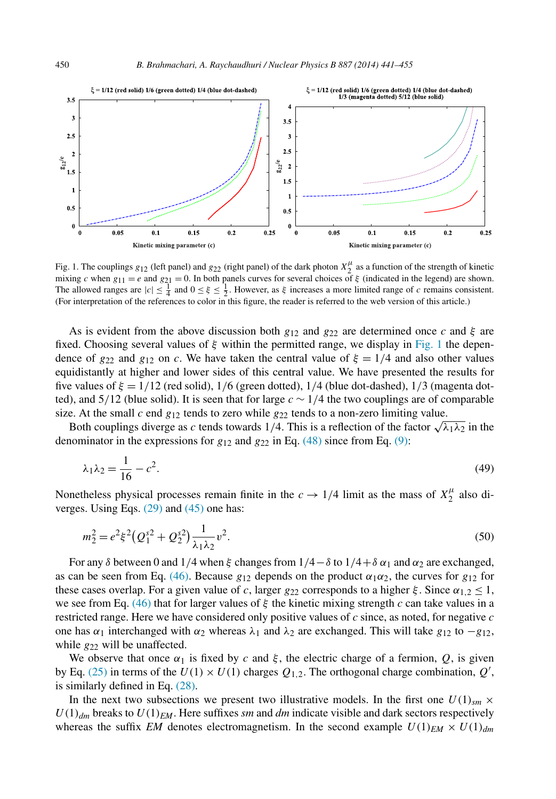<span id="page-9-0"></span>

Fig. 1. The couplings  $g_{12}$  (left panel) and  $g_{22}$  (right panel) of the dark photon  $X_2^{\mu}$  as a function of the strength of kinetic mixing *c* when  $g_{11} = e$  and  $g_{21} = 0$ . In both panels curves for several choices of  $\xi$  (indicated in the legend) are shown. The allowed ranges are  $|c| \leq \frac{1}{4}$  and  $0 \leq \xi \leq \frac{1}{2}$ . However, as  $\xi$  increases a more limited range of *c* remains consistent. (For interpretation of the references to color in this figure, the reader is referred to the web version of this article.)

As is evident from the above discussion both  $g_{12}$  and  $g_{22}$  are determined once *c* and  $\xi$  are fixed. Choosing several values of *ξ* within the permitted range, we display in Fig. 1 the dependence of  $g_{22}$  and  $g_{12}$  on *c*. We have taken the central value of  $\xi = 1/4$  and also other values equidistantly at higher and lower sides of this central value. We have presented the results for five values of *ξ* = 1*/*12 (red solid), 1*/*6 (green dotted), 1*/*4 (blue dot-dashed), 1*/*3 (magenta dotted), and 5*/*12 (blue solid). It is seen that for large *c* ∼ 1*/*4 the two couplings are of comparable size. At the small  $c$  end  $g_{12}$  tends to zero while  $g_{22}$  tends to a non-zero limiting value.

Both couplings diverge as *c* tends towards 1/4. This is a reflection of the factor  $\sqrt{\lambda_1 \lambda_2}$  in the denominator in the expressions for  $g_{12}$  and  $g_{22}$  in Eq. [\(48\)](#page-8-0) since from Eq. [\(9\):](#page-3-0)

$$
\lambda_1 \lambda_2 = \frac{1}{16} - c^2. \tag{49}
$$

Nonetheless physical processes remain finite in the  $c \rightarrow 1/4$  limit as the mass of  $X_2^{\mu}$  also diverges. Using Eqs. [\(29\)](#page-6-0) and [\(45\)](#page-8-0) one has:

$$
m_2^2 = e^2 \xi^2 (Q_1^{s2} + Q_2^{s2}) \frac{1}{\lambda_1 \lambda_2} v^2.
$$
\n(50)

For any *δ* between 0 and 1*/*4 when *ξ* changesfrom 1*/*4−*δ* to 1*/*4+*δ α*<sup>1</sup> and *α*<sup>2</sup> are exchanged, as can be seen from Eq. [\(46\).](#page-8-0) Because  $g_{12}$  depends on the product  $\alpha_1 \alpha_2$ , the curves for  $g_{12}$  for these cases overlap. For a given value of *c*, larger  $g_{22}$  corresponds to a higher  $\xi$ . Since  $\alpha_{1,2} \leq 1$ , we see from Eq. [\(46\)](#page-8-0) that for larger values of *ξ* the kinetic mixing strength *c* can take values in a restricted range. Here we have considered only positive values of *c* since, as noted, for negative *c* one has  $α_1$  interchanged with  $α_2$  whereas  $λ_1$  and  $λ_2$  are exchanged. This will take  $g_{12}$  to  $-g_{12}$ , while  $g_{22}$  will be unaffected.

We observe that once  $\alpha_1$  is fixed by *c* and  $\xi$ , the electric charge of a fermion, *Q*, is given by Eq. [\(25\)](#page-5-0) in terms of the  $U(1) \times U(1)$  charges  $Q_{1,2}$ . The orthogonal charge combination,  $Q'$ , is similarly defined in Eq. [\(28\).](#page-6-0)

In the next two subsections we present two illustrative models. In the first one  $U(1)_{sm}$  ×  $U(1)_{dm}$  breaks to  $U(1)_{EM}$ . Here suffixes *sm* and *dm* indicate visible and dark sectors respectively whereas the suffix *EM* denotes electromagnetism. In the second example  $U(1)_{EM} \times U(1)_{dm}$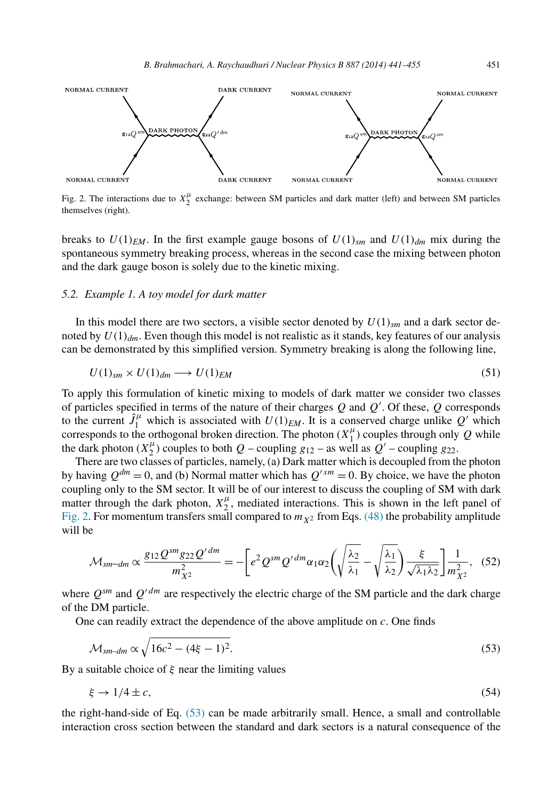<span id="page-10-0"></span>

Fig. 2. The interactions due to  $X_2^{\mu}$  exchange: between SM particles and dark matter (left) and between SM particles themselves (right).

breaks to  $U(1)_{EM}$ . In the first example gauge bosons of  $U(1)_{sm}$  and  $U(1)_{dm}$  mix during the spontaneous symmetry breaking process, whereas in the second case the mixing between photon and the dark gauge boson is solely due to the kinetic mixing.

## *5.2. Example 1. A toy model for dark matter*

In this model there are two sectors, a visible sector denoted by  $U(1)_{\rm sm}$  and a dark sector denoted by  $U(1)<sub>dm</sub>$ . Even though this model is not realistic as it stands, key features of our analysis can be demonstrated by this simplified version. Symmetry breaking is along the following line,

$$
U(1)_{sm} \times U(1)_{dm} \longrightarrow U(1)_{EM} \tag{51}
$$

To apply this formulation of kinetic mixing to models of dark matter we consider two classes of particles specified in terms of the nature of their charges *Q* and *Q* . Of these, *Q* corresponds to the current  $\hat{J}_1^{\mu}$  which is associated with  $U(1)_{EM}$ . It is a conserved charge unlike  $Q'$  which corresponds to the orthogonal broken direction. The photon  $(X_1^{\mu})$  couples through only *Q* while the dark photon  $(X_2^{\mu})$  couples to both  $Q$  – coupling  $g_{12}$  – as well as  $Q'$  – coupling  $g_{22}$ .

There are two classes of particles, namely, (a) Dark matter which is decoupled from the photon by having  $Q^{dm} = 0$ , and (b) Normal matter which has  $Q^{\prime sm} = 0$ . By choice, we have the photon coupling only to the SM sector. It will be of our interest to discuss the coupling of SM with dark matter through the dark photon,  $X_2^{\mu}$ , mediated interactions. This is shown in the left panel of Fig. 2. For momentum transfers small compared to  $m<sub>X</sub>$  from Eqs. [\(48\)](#page-8-0) the probability amplitude will be

$$
\mathcal{M}_{sm-dm} \propto \frac{g_{12} \mathcal{Q}^{sm} g_{22} \mathcal{Q}^{\prime dm}}{m_{X^2}^2} = -\bigg[ e^2 \mathcal{Q}^{sm} \mathcal{Q}^{\prime dm} \alpha_1 \alpha_2 \bigg( \sqrt{\frac{\lambda_2}{\lambda_1}} - \sqrt{\frac{\lambda_1}{\lambda_2}} \bigg) \frac{\xi}{\sqrt{\lambda_1 \lambda_2}} \bigg] \frac{1}{m_{X^2}^2}, \quad (52)
$$

where  $Q^{sm}$  and  $Q'^{dm}$  are respectively the electric charge of the SM particle and the dark charge of the DM particle.

One can readily extract the dependence of the above amplitude on *c*. One finds

$$
\mathcal{M}_{sm-dm} \propto \sqrt{16c^2 - (4\xi - 1)^2}.
$$
\n(53)

By a suitable choice of *ξ* near the limiting values

$$
\xi \to 1/4 \pm c,\tag{54}
$$

the right-hand-side of Eq. (53) can be made arbitrarily small. Hence, a small and controllable interaction cross section between the standard and dark sectors is a natural consequence of the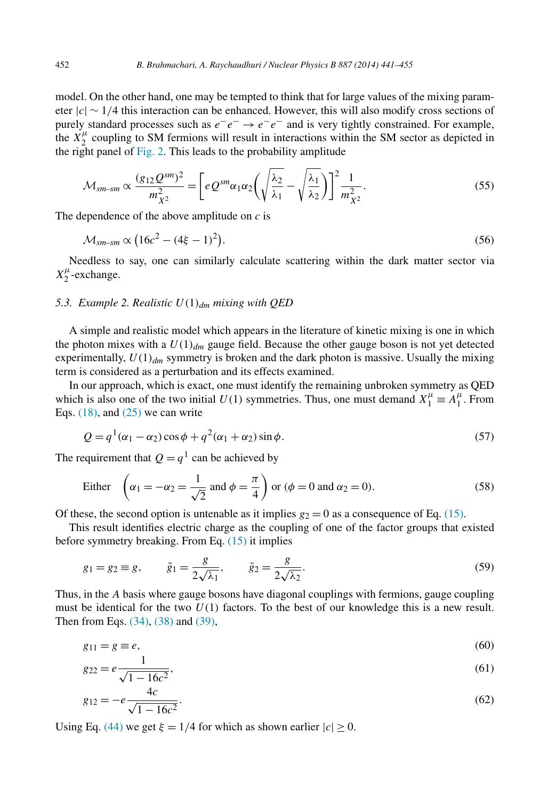<span id="page-11-0"></span>model. On the other hand, one may be tempted to think that for large values of the mixing parameter |*c*| ∼ 1*/*4 this interaction can be enhanced. However, this will also modify cross sections of purely standard processes such as  $e^-e^- \rightarrow e^-e^-$  and is very tightly constrained. For example, the  $X_2^{\mu}$  coupling to SM fermions will result in interactions within the SM sector as depicted in the right panel of [Fig. 2.](#page-10-0) This leads to the probability amplitude

$$
\mathcal{M}_{sm-sm} \propto \frac{(g_{12}Q^{sm})^2}{m_{X^2}^2} = \left[ eQ^{sm}\alpha_1\alpha_2 \left( \sqrt{\frac{\lambda_2}{\lambda_1}} - \sqrt{\frac{\lambda_1}{\lambda_2}} \right) \right]^2 \frac{1}{m_{X^2}^2}.
$$
\n
$$
(55)
$$

The dependence of the above amplitude on *c* is

$$
\mathcal{M}_{sm-sm} \propto \left(16c^2 - (4\xi - 1)^2\right). \tag{56}
$$

Needless to say, one can similarly calculate scattering within the dark matter sector via  $X_2^{\mu}$ -exchange.

## *5.3. Example 2. Realistic U(*1*)dm mixing with QED*

A simple and realistic model which appears in the literature of kinetic mixing is one in which the photon mixes with a  $U(1)_{dm}$  gauge field. Because the other gauge boson is not yet detected experimentally,  $U(1)_{dm}$  symmetry is broken and the dark photon is massive. Usually the mixing term is considered as a perturbation and its effects examined.

In our approach, which is exact, one must identify the remaining unbroken symmetry as QED which is also one of the two initial  $U(1)$  symmetries. Thus, one must demand  $X_1^{\mu} \equiv A_1^{\mu}$ . From Eqs.  $(18)$ , and  $(25)$  we can write

$$
Q = q1(\alpha_1 - \alpha_2) \cos \phi + q2(\alpha_1 + \alpha_2) \sin \phi.
$$
 (57)

The requirement that  $Q = q<sup>1</sup>$  can be achieved by

Either 
$$
\left(\alpha_1 = -\alpha_2 = \frac{1}{\sqrt{2}} \text{ and } \phi = \frac{\pi}{4}\right)
$$
 or  $(\phi = 0 \text{ and } \alpha_2 = 0).$  (58)

Of these, the second option is untenable as it implies  $g_2 = 0$  as a consequence of Eq. [\(15\).](#page-4-0)

This result identifies electric charge as the coupling of one of the factor groups that existed before symmetry breaking. From Eq. [\(15\)](#page-4-0) it implies

$$
g_1 = g_2 \equiv g, \qquad \tilde{g}_1 = \frac{g}{2\sqrt{\lambda_1}}, \qquad \tilde{g}_2 = \frac{g}{2\sqrt{\lambda_2}}.
$$
 (59)

Thus, in the *A* basis where gauge bosons have diagonal couplings with fermions, gauge coupling must be identical for the two  $U(1)$  factors. To the best of our knowledge this is a new result. Then from Eqs. [\(34\),](#page-6-0) [\(38\)](#page-7-0) and [\(39\),](#page-7-0)

$$
g_{11} = g \equiv e,\tag{60}
$$

$$
g_{22} = e \frac{1}{\sqrt{1 - 16c^2}},\tag{61}
$$

$$
g_{12} = -e \frac{4c}{\sqrt{1 - 16c^2}}.\tag{62}
$$

Using Eq. [\(44\)](#page-8-0) we get  $\xi = 1/4$  for which as shown earlier  $|c| \ge 0$ .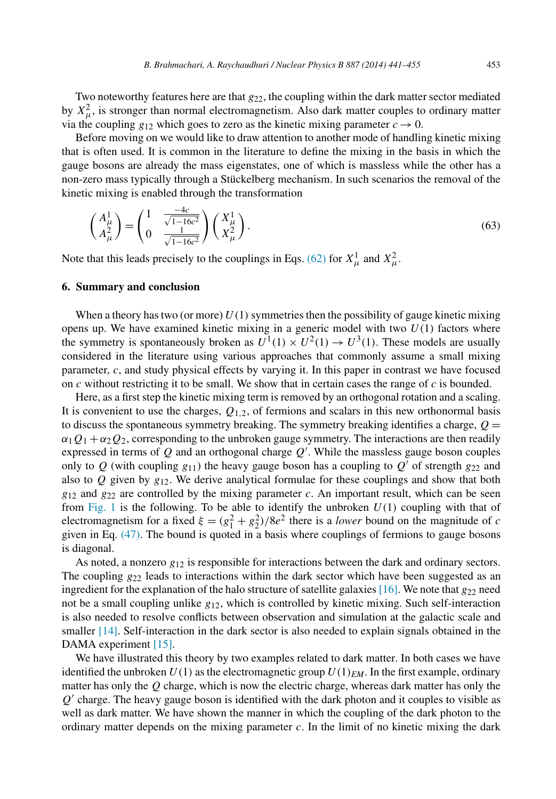Two noteworthy features here are that *g*22, the coupling within the dark matter sector mediated by  $X^2_{\mu}$ , is stronger than normal electromagnetism. Also dark matter couples to ordinary matter via the coupling  $g_{12}$  which goes to zero as the kinetic mixing parameter  $c \rightarrow 0$ .

Before moving on we would like to draw attention to another mode of handling kinetic mixing that is often used. It is common in the literature to define the mixing in the basis in which the gauge bosons are already the mass eigenstates, one of which is massless while the other has a non-zero mass typically through a Stückelberg mechanism. In such scenarios the removal of the kinetic mixing is enabled through the transformation

$$
\begin{pmatrix} A^1_{\mu} \\ A^2_{\mu} \end{pmatrix} = \begin{pmatrix} 1 & \frac{-4c}{\sqrt{1-16c^2}} \\ 0 & \frac{1}{\sqrt{1-16c^2}} \end{pmatrix} \begin{pmatrix} X^1_{\mu} \\ X^2_{\mu} \end{pmatrix} . \tag{63}
$$

Note that this leads precisely to the couplings in Eqs. [\(62\)](#page-11-0) for  $X^1_\mu$  and  $X^2_\mu$ .

### **6. Summary and conclusion**

When a theory has two (or more)  $U(1)$  symmetries then the possibility of gauge kinetic mixing opens up. We have examined kinetic mixing in a generic model with two *U(*1*)* factors where the symmetry is spontaneously broken as  $U^1(1) \times U^2(1) \rightarrow U^3(1)$ . These models are usually considered in the literature using various approaches that commonly assume a small mixing parameter, *c*, and study physical effects by varying it. In this paper in contrast we have focused on *c* without restricting it to be small. We show that in certain cases the range of *c* is bounded.

Here, as a first step the kinetic mixing term is removed by an orthogonal rotation and a scaling. It is convenient to use the charges,  $Q_{1,2}$ , of fermions and scalars in this new orthonormal basis to discuss the spontaneous symmetry breaking. The symmetry breaking identifies a charge,  $Q =$  $\alpha_1 Q_1 + \alpha_2 Q_2$ , corresponding to the unbroken gauge symmetry. The interactions are then readily expressed in terms of *Q* and an orthogonal charge *Q* . While the massless gauge boson couples only to  $Q$  (with coupling  $g_{11}$ ) the heavy gauge boson has a coupling to  $Q'$  of strength  $g_{22}$  and also to  $Q$  given by  $g_{12}$ . We derive analytical formulae for these couplings and show that both  $g_{12}$  and  $g_{22}$  are controlled by the mixing parameter *c*. An important result, which can be seen from [Fig. 1](#page-9-0) is the following. To be able to identify the unbroken  $U(1)$  coupling with that of electromagnetism for a fixed  $\xi = (g_1^2 + g_2^2)/8e^2$  there is a *lower* bound on the magnitude of *c* given in Eq. [\(47\).](#page-8-0) The bound is quoted in a basis where couplings of fermions to gauge bosons is diagonal.

As noted, a nonzero *g*<sup>12</sup> is responsible for interactions between the dark and ordinary sectors. The coupling  $g_{22}$  leads to interactions within the dark sector which have been suggested as an ingredient for the explanation of the halo structure of satellite galaxies [\[16\].](#page-14-0) We note that  $g_{22}$  need not be a small coupling unlike *g*12, which is controlled by kinetic mixing. Such self-interaction is also needed to resolve conflicts between observation and simulation at the galactic scale and smaller [\[14\].](#page-14-0) Self-interaction in the dark sector is also needed to explain signals obtained in the DAMA experiment [\[15\].](#page-14-0)

We have illustrated this theory by two examples related to dark matter. In both cases we have identified the unbroken  $U(1)$  as the electromagnetic group  $U(1)_{EM}$ . In the first example, ordinary matter has only the *Q* charge, which is now the electric charge, whereas dark matter has only the  $Q'$  charge. The heavy gauge boson is identified with the dark photon and it couples to visible as well as dark matter. We have shown the manner in which the coupling of the dark photon to the ordinary matter depends on the mixing parameter *c*. In the limit of no kinetic mixing the dark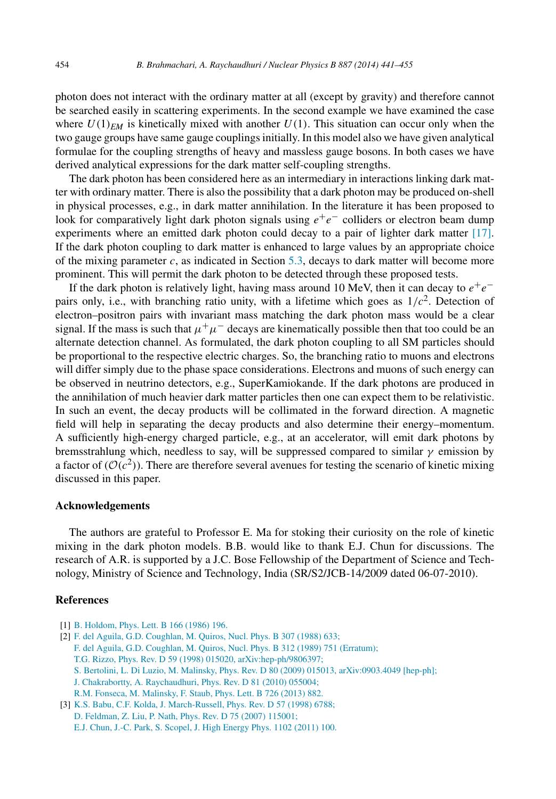<span id="page-13-0"></span>photon does not interact with the ordinary matter at all (except by gravity) and therefore cannot be searched easily in scattering experiments. In the second example we have examined the case where  $U(1)_{EM}$  is kinetically mixed with another  $U(1)$ . This situation can occur only when the two gauge groups have same gauge couplings initially. In this model also we have given analytical formulae for the coupling strengths of heavy and massless gauge bosons. In both cases we have derived analytical expressions for the dark matter self-coupling strengths.

The dark photon has been considered here as an intermediary in interactions linking dark matter with ordinary matter. There is also the possibility that a dark photon may be produced on-shell in physical processes, e.g., in dark matter annihilation. In the literature it has been proposed to look for comparatively light dark photon signals using *e*+*e*− colliders or electron beam dump experiments where an emitted dark photon could decay to a pair of lighter dark matter [\[17\].](#page-14-0) If the dark photon coupling to dark matter is enhanced to large values by an appropriate choice of the mixing parameter  $c$ , as indicated in Section [5.3,](#page-11-0) decays to dark matter will become more prominent. This will permit the dark photon to be detected through these proposed tests.

If the dark photon is relatively light, having mass around 10 MeV, then it can decay to  $e^+e^$ pairs only, i.e., with branching ratio unity, with a lifetime which goes as  $1/c<sup>2</sup>$ . Detection of electron–positron pairs with invariant mass matching the dark photon mass would be a clear signal. If the mass is such that  $\mu^+\mu^-$  decays are kinematically possible then that too could be an alternate detection channel. As formulated, the dark photon coupling to all SM particles should be proportional to the respective electric charges. So, the branching ratio to muons and electrons will differ simply due to the phase space considerations. Electrons and muons of such energy can be observed in neutrino detectors, e.g., SuperKamiokande. If the dark photons are produced in the annihilation of much heavier dark matter particles then one can expect them to be relativistic. In such an event, the decay products will be collimated in the forward direction. A magnetic field will help in separating the decay products and also determine their energy–momentum. A sufficiently high-energy charged particle, e.g., at an accelerator, will emit dark photons by bremsstrahlung which, needless to say, will be suppressed compared to similar  $\gamma$  emission by a factor of  $(\mathcal{O}(c^2))$ . There are therefore several avenues for testing the scenario of kinetic mixing discussed in this paper.

## **Acknowledgements**

The authors are grateful to Professor E. Ma for stoking their curiosity on the role of kinetic mixing in the dark photon models. B.B. would like to thank E.J. Chun for discussions. The research of A.R. is supported by a J.C. Bose Fellowship of the Department of Science and Technology, Ministry of Science and Technology, India (SR/S2/JCB-14/2009 dated 06-07-2010).

### **References**

- [1] [B. Holdom,](http://refhub.elsevier.com/S0550-3213(14)00271-5/bib6B696E65746963s1) Phys. Lett. B 166 (1986) 196.
- [2] F. del Aguila, [G.D. Coughlan,](http://refhub.elsevier.com/S0550-3213(14)00271-5/bib677574s1) M. Quiros, Nucl. Phys. B 307 (1988) 633;
	- F. del Aguila, [G.D. Coughlan,](http://refhub.elsevier.com/S0550-3213(14)00271-5/bib677574s2) M. Quiros, Nucl. Phys. B 312 (1989) 751 (Erratum);
	- T.G. Rizzo, Phys. Rev. D 59 (1998) 015020, [arXiv:hep-ph/9806397;](http://refhub.elsevier.com/S0550-3213(14)00271-5/bib677574s3)
	- S. Bertolini, L. Di Luzio, M. Malinsky, Phys. Rev. D 80 (2009) 015013, [arXiv:0903.4049](http://refhub.elsevier.com/S0550-3213(14)00271-5/bib677574s4) [hep-ph];
	- J. Chakrabortty, [A. Raychaudhuri,](http://refhub.elsevier.com/S0550-3213(14)00271-5/bib677574s5) Phys. Rev. D 81 (2010) 055004;
	- [R.M. Fonseca,](http://refhub.elsevier.com/S0550-3213(14)00271-5/bib677574s6) M. Malinsky, F. Staub, Phys. Lett. B 726 (2013) 882.
- [3] K.S. Babu, C.F. Kolda, [J. March-Russell,](http://refhub.elsevier.com/S0550-3213(14)00271-5/bib596D69787468s1) Phys. Rev. D 57 (1998) 6788; [D. Feldman,](http://refhub.elsevier.com/S0550-3213(14)00271-5/bib596D69787468s2) Z. Liu, P. Nath, Phys. Rev. D 75 (2007) 115001; E.J. Chun, [J.-C. Park,](http://refhub.elsevier.com/S0550-3213(14)00271-5/bib596D69787468s3) S. Scopel, J. High Energy Phys. 1102 (2011) 100.